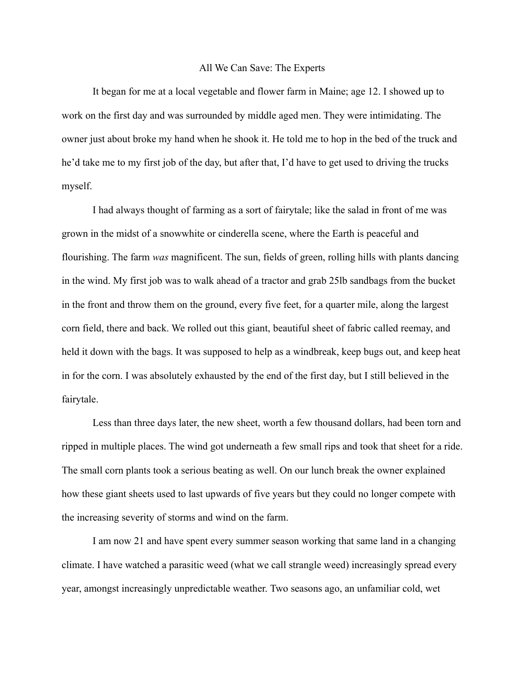## All We Can Save: The Experts

It began for me at a local vegetable and flower farm in Maine; age 12. I showed up to work on the first day and was surrounded by middle aged men. They were intimidating. The owner just about broke my hand when he shook it. He told me to hop in the bed of the truck and he'd take me to my first job of the day, but after that, I'd have to get used to driving the trucks myself.

I had always thought of farming as a sort of fairytale; like the salad in front of me was grown in the midst of a snowwhite or cinderella scene, where the Earth is peaceful and flourishing. The farm *was* magnificent. The sun, fields of green, rolling hills with plants dancing in the wind. My first job was to walk ahead of a tractor and grab 25lb sandbags from the bucket in the front and throw them on the ground, every five feet, for a quarter mile, along the largest corn field, there and back. We rolled out this giant, beautiful sheet of fabric called reemay, and held it down with the bags. It was supposed to help as a windbreak, keep bugs out, and keep heat in for the corn. I was absolutely exhausted by the end of the first day, but I still believed in the fairytale.

Less than three days later, the new sheet, worth a few thousand dollars, had been torn and ripped in multiple places. The wind got underneath a few small rips and took that sheet for a ride. The small corn plants took a serious beating as well. On our lunch break the owner explained how these giant sheets used to last upwards of five years but they could no longer compete with the increasing severity of storms and wind on the farm.

I am now 21 and have spent every summer season working that same land in a changing climate. I have watched a parasitic weed (what we call strangle weed) increasingly spread every year, amongst increasingly unpredictable weather. Two seasons ago, an unfamiliar cold, wet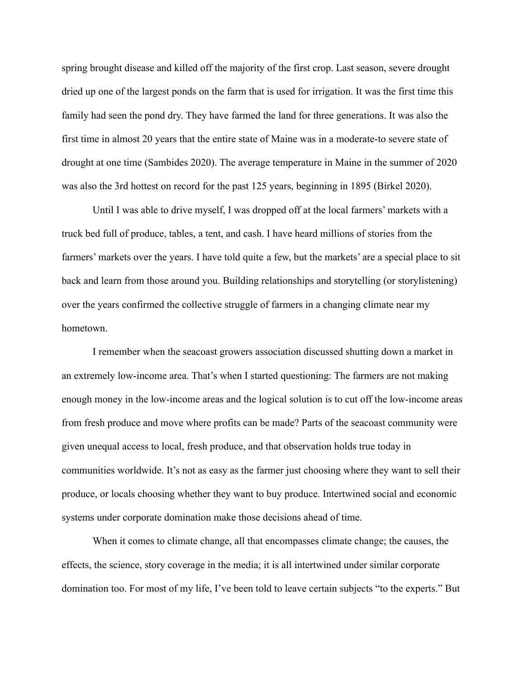spring brought disease and killed off the majority of the first crop. Last season, severe drought dried up one of the largest ponds on the farm that is used for irrigation. It was the first time this family had seen the pond dry. They have farmed the land for three generations. It was also the first time in almost 20 years that the entire state of Maine was in a moderate-to severe state of drought at one time (Sambides 2020). The average temperature in Maine in the summer of 2020 was also the 3rd hottest on record for the past 125 years, beginning in 1895 (Birkel 2020).

Until I was able to drive myself, I was dropped off at the local farmers' markets with a truck bed full of produce, tables, a tent, and cash. I have heard millions of stories from the farmers' markets over the years. I have told quite a few, but the markets' are a special place to sit back and learn from those around you. Building relationships and storytelling (or storylistening) over the years confirmed the collective struggle of farmers in a changing climate near my hometown.

I remember when the seacoast growers association discussed shutting down a market in an extremely low-income area. That's when I started questioning: The farmers are not making enough money in the low-income areas and the logical solution is to cut off the low-income areas from fresh produce and move where profits can be made? Parts of the seacoast community were given unequal access to local, fresh produce, and that observation holds true today in communities worldwide. It's not as easy as the farmer just choosing where they want to sell their produce, or locals choosing whether they want to buy produce. Intertwined social and economic systems under corporate domination make those decisions ahead of time.

When it comes to climate change, all that encompasses climate change; the causes, the effects, the science, story coverage in the media; it is all intertwined under similar corporate domination too. For most of my life, I've been told to leave certain subjects "to the experts." But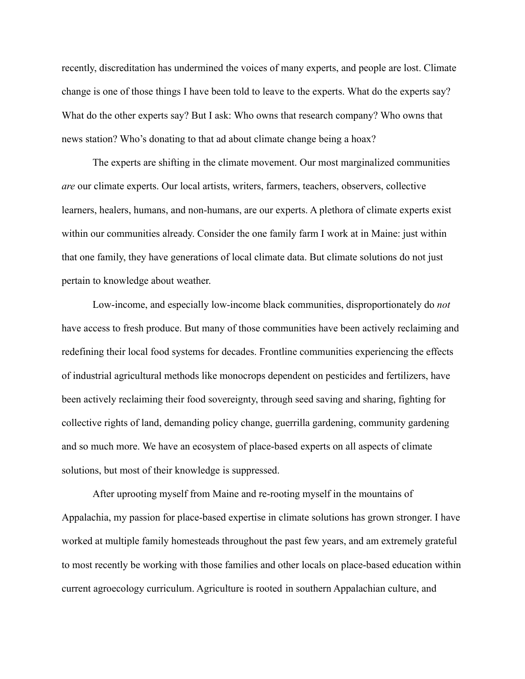recently, discreditation has undermined the voices of many experts, and people are lost. Climate change is one of those things I have been told to leave to the experts. What do the experts say? What do the other experts say? But I ask: Who owns that research company? Who owns that news station? Who's donating to that ad about climate change being a hoax?

The experts are shifting in the climate movement. Our most marginalized communities *are* our climate experts. Our local artists, writers, farmers, teachers, observers, collective learners, healers, humans, and non-humans, are our experts. A plethora of climate experts exist within our communities already. Consider the one family farm I work at in Maine: just within that one family, they have generations of local climate data. But climate solutions do not just pertain to knowledge about weather.

Low-income, and especially low-income black communities, disproportionately do *not* have access to fresh produce. But many of those communities have been actively reclaiming and redefining their local food systems for decades. Frontline communities experiencing the effects of industrial agricultural methods like monocrops dependent on pesticides and fertilizers, have been actively reclaiming their food sovereignty, through seed saving and sharing, fighting for collective rights of land, demanding policy change, guerrilla gardening, community gardening and so much more. We have an ecosystem of place-based experts on all aspects of climate solutions, but most of their knowledge is suppressed.

After uprooting myself from Maine and re-rooting myself in the mountains of Appalachia, my passion for place-based expertise in climate solutions has grown stronger. I have worked at multiple family homesteads throughout the past few years, and am extremely grateful to most recently be working with those families and other locals on place-based education within current agroecology curriculum. Agriculture is rooted in southern Appalachian culture, and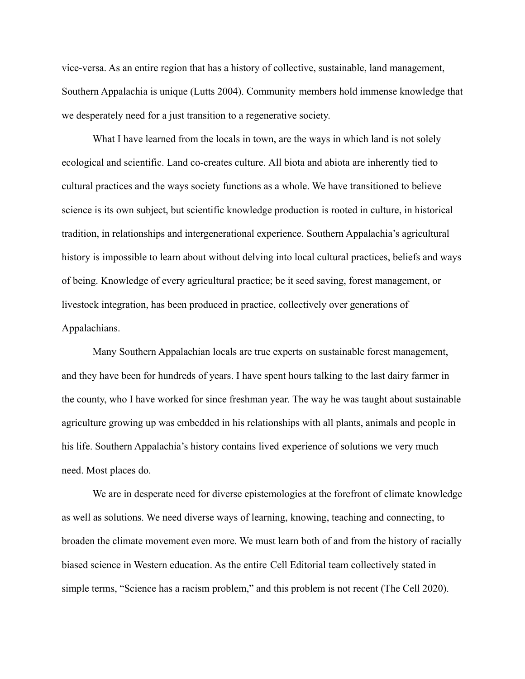vice-versa. As an entire region that has a history of collective, sustainable, land management, Southern Appalachia is unique (Lutts 2004). Community members hold immense knowledge that we desperately need for a just transition to a regenerative society.

What I have learned from the locals in town, are the ways in which land is not solely ecological and scientific. Land co-creates culture. All biota and abiota are inherently tied to cultural practices and the ways society functions as a whole. We have transitioned to believe science is its own subject, but scientific knowledge production is rooted in culture, in historical tradition, in relationships and intergenerational experience. Southern Appalachia's agricultural history is impossible to learn about without delving into local cultural practices, beliefs and ways of being. Knowledge of every agricultural practice; be it seed saving, forest management, or livestock integration, has been produced in practice, collectively over generations of Appalachians.

Many Southern Appalachian locals are true experts on sustainable forest management, and they have been for hundreds of years. I have spent hours talking to the last dairy farmer in the county, who I have worked for since freshman year. The way he was taught about sustainable agriculture growing up was embedded in his relationships with all plants, animals and people in his life. Southern Appalachia's history contains lived experience of solutions we very much need. Most places do.

We are in desperate need for diverse epistemologies at the forefront of climate knowledge as well as solutions. We need diverse ways of learning, knowing, teaching and connecting, to broaden the climate movement even more. We must learn both of and from the history of racially biased science in Western education. As the entire Cell Editorial team collectively stated in simple terms, "Science has a racism problem," and this problem is not recent (The Cell 2020).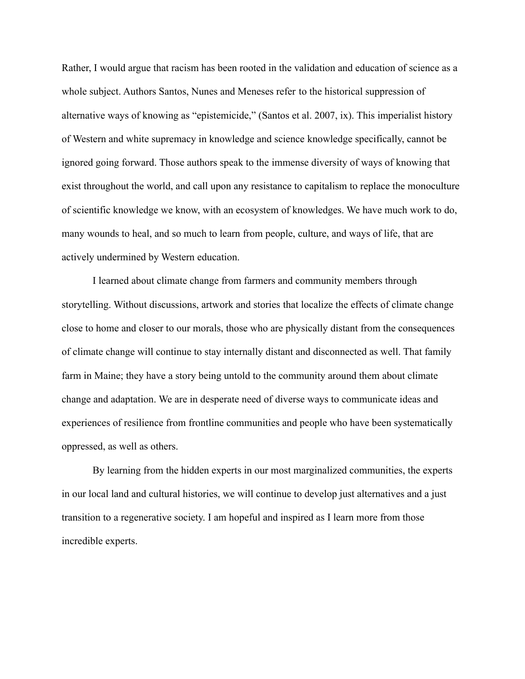Rather, I would argue that racism has been rooted in the validation and education of science as a whole subject. Authors Santos, Nunes and Meneses refer to the historical suppression of alternative ways of knowing as "epistemicide," (Santos et al. 2007, ix). This imperialist history of Western and white supremacy in knowledge and science knowledge specifically, cannot be ignored going forward. Those authors speak to the immense diversity of ways of knowing that exist throughout the world, and call upon any resistance to capitalism to replace the monoculture of scientific knowledge we know, with an ecosystem of knowledges. We have much work to do, many wounds to heal, and so much to learn from people, culture, and ways of life, that are actively undermined by Western education.

I learned about climate change from farmers and community members through storytelling. Without discussions, artwork and stories that localize the effects of climate change close to home and closer to our morals, those who are physically distant from the consequences of climate change will continue to stay internally distant and disconnected as well. That family farm in Maine; they have a story being untold to the community around them about climate change and adaptation. We are in desperate need of diverse ways to communicate ideas and experiences of resilience from frontline communities and people who have been systematically oppressed, as well as others.

By learning from the hidden experts in our most marginalized communities, the experts in our local land and cultural histories, we will continue to develop just alternatives and a just transition to a regenerative society. I am hopeful and inspired as I learn more from those incredible experts.